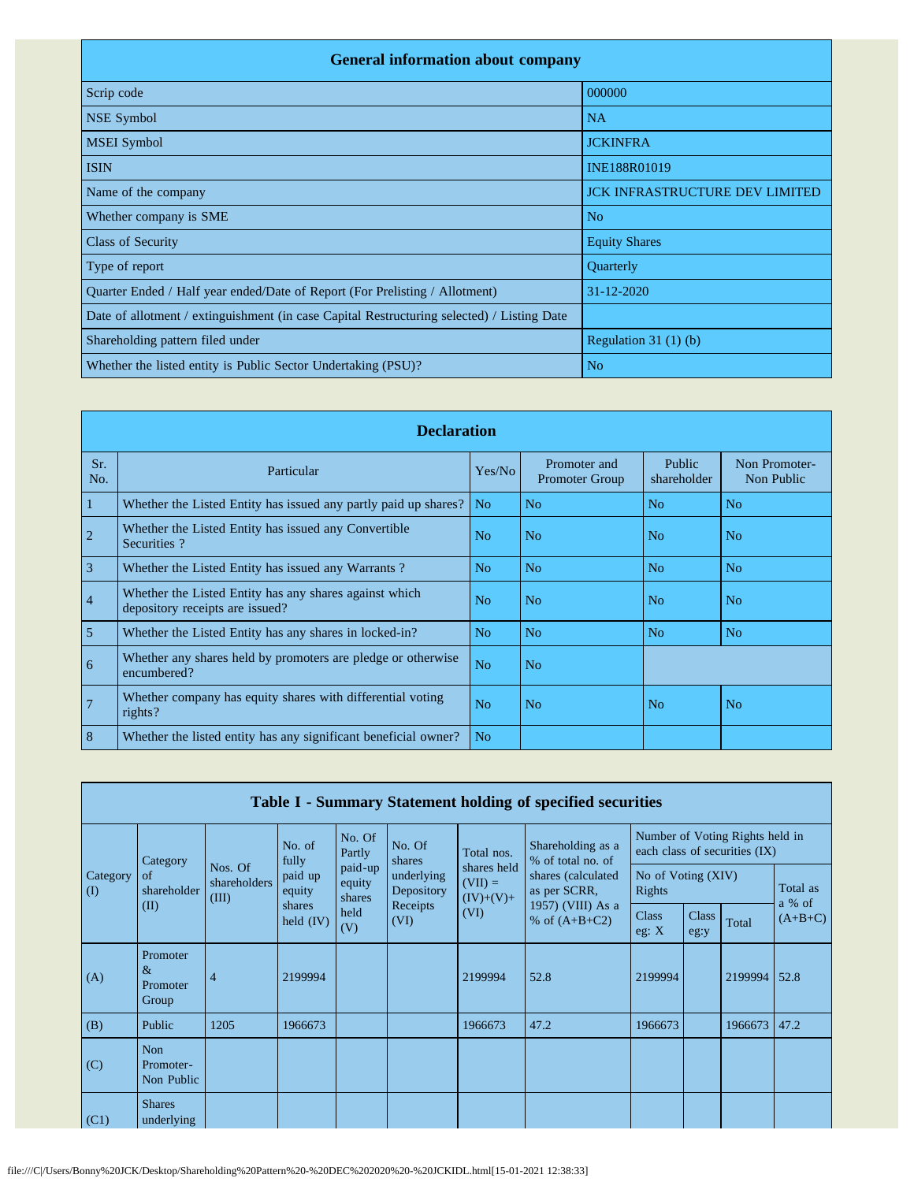| <b>General information about company</b>                                                   |                                       |  |  |  |  |  |  |  |
|--------------------------------------------------------------------------------------------|---------------------------------------|--|--|--|--|--|--|--|
| Scrip code                                                                                 | 000000                                |  |  |  |  |  |  |  |
| <b>NSE Symbol</b>                                                                          | <b>NA</b>                             |  |  |  |  |  |  |  |
| <b>MSEI</b> Symbol                                                                         | <b>JCKINFRA</b>                       |  |  |  |  |  |  |  |
| <b>ISIN</b>                                                                                | INE188R01019                          |  |  |  |  |  |  |  |
| Name of the company                                                                        | <b>JCK INFRASTRUCTURE DEV LIMITED</b> |  |  |  |  |  |  |  |
| Whether company is SME                                                                     | N <sub>o</sub>                        |  |  |  |  |  |  |  |
| <b>Class of Security</b>                                                                   | <b>Equity Shares</b>                  |  |  |  |  |  |  |  |
| Type of report                                                                             | Quarterly                             |  |  |  |  |  |  |  |
| Quarter Ended / Half year ended/Date of Report (For Prelisting / Allotment)                | $31 - 12 - 2020$                      |  |  |  |  |  |  |  |
| Date of allotment / extinguishment (in case Capital Restructuring selected) / Listing Date |                                       |  |  |  |  |  |  |  |
| Shareholding pattern filed under                                                           | Regulation 31 $(1)$ $(b)$             |  |  |  |  |  |  |  |
| Whether the listed entity is Public Sector Undertaking (PSU)?                              | N <sub>o</sub>                        |  |  |  |  |  |  |  |

|                | <b>Declaration</b>                                                                        |                |                                       |                       |                             |  |  |  |  |
|----------------|-------------------------------------------------------------------------------------------|----------------|---------------------------------------|-----------------------|-----------------------------|--|--|--|--|
| Sr.<br>No.     | Particular                                                                                | Yes/No         | Promoter and<br><b>Promoter Group</b> | Public<br>shareholder | Non Promoter-<br>Non Public |  |  |  |  |
| 1              | Whether the Listed Entity has issued any partly paid up shares?                           | N <sub>o</sub> | N <sub>o</sub>                        | N <sub>o</sub>        | N <sub>o</sub>              |  |  |  |  |
| $\overline{c}$ | Whether the Listed Entity has issued any Convertible<br>Securities?                       | N <sub>0</sub> | No                                    | N <sub>0</sub>        | No                          |  |  |  |  |
| $\overline{3}$ | Whether the Listed Entity has issued any Warrants?                                        | N <sub>o</sub> | N <sub>o</sub>                        | N <sub>o</sub>        | N <sub>o</sub>              |  |  |  |  |
| $\overline{4}$ | Whether the Listed Entity has any shares against which<br>depository receipts are issued? | N <sub>0</sub> | No                                    | N <sub>o</sub>        | No                          |  |  |  |  |
| 5              | Whether the Listed Entity has any shares in locked-in?                                    | N <sub>o</sub> | N <sub>o</sub>                        | N <sub>o</sub>        | N <sub>o</sub>              |  |  |  |  |
| 6              | Whether any shares held by promoters are pledge or otherwise<br>encumbered?               | N <sub>o</sub> | N <sub>o</sub>                        |                       |                             |  |  |  |  |
| 7              | Whether company has equity shares with differential voting<br>rights?                     | N <sub>o</sub> | No                                    | N <sub>o</sub>        | N <sub>o</sub>              |  |  |  |  |
| 8              | Whether the listed entity has any significant beneficial owner?                           | N <sub>o</sub> |                                       |                       |                             |  |  |  |  |

|                      | Table I - Summary Statement holding of specified securities |                                  |                       |                                         |                          |                                         |                                        |                         |                      |                                                                  |                    |
|----------------------|-------------------------------------------------------------|----------------------------------|-----------------------|-----------------------------------------|--------------------------|-----------------------------------------|----------------------------------------|-------------------------|----------------------|------------------------------------------------------------------|--------------------|
|                      | Category                                                    |                                  | No. of<br>fully       | No. Of<br>Partly                        | No. Of<br>shares         | Total nos.                              | Shareholding as a<br>% of total no. of |                         |                      | Number of Voting Rights held in<br>each class of securities (IX) |                    |
| Category<br>$\rm(D)$ | of<br>shareholder<br>(II)                                   | Nos. Of<br>shareholders<br>(III) | paid up<br>equity     | paid-up<br>equity<br>shares             | underlying<br>Depository | shares held<br>$(VII) =$<br>$(IV)+(V)+$ | shares (calculated<br>as per SCRR,     | Rights                  | No of Voting (XIV)   |                                                                  | Total as<br>a % of |
|                      |                                                             |                                  | shares<br>held $(IV)$ | Receipts<br>(VI)<br>held<br>(VI)<br>(V) |                          | 1957) (VIII) As a<br>% of $(A+B+C2)$    |                                        | <b>Class</b><br>eg: $X$ | <b>Class</b><br>eg:y | Total                                                            | $(A+B+C)$          |
| (A)                  | Promoter<br>$\&$<br>Promoter<br>Group                       | 4                                | 2199994               |                                         |                          | 2199994                                 | 52.8                                   | 2199994                 |                      | 2199994                                                          | 52.8               |
| (B)                  | Public                                                      | 1205                             | 1966673               |                                         |                          | 1966673                                 | 47.2                                   | 1966673                 |                      | 1966673                                                          | 47.2               |
| (C)                  | Non<br>Promoter-<br>Non Public                              |                                  |                       |                                         |                          |                                         |                                        |                         |                      |                                                                  |                    |
| (C1)                 | <b>Shares</b><br>underlying                                 |                                  |                       |                                         |                          |                                         |                                        |                         |                      |                                                                  |                    |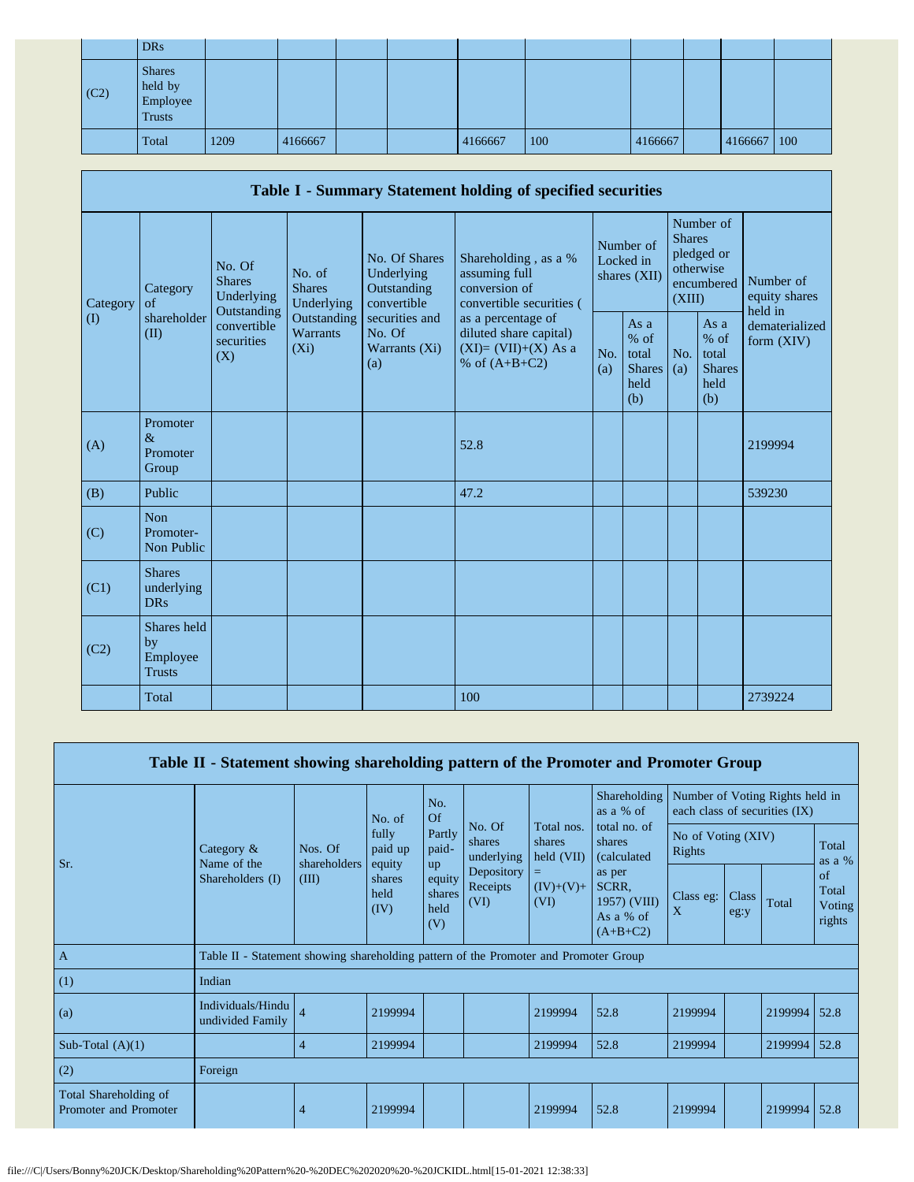|      | <b>DRs</b>                                            |      |         |  |         |     |         |             |  |
|------|-------------------------------------------------------|------|---------|--|---------|-----|---------|-------------|--|
| (C2) | <b>Shares</b><br>held by<br>Employee<br><b>Trusts</b> |      |         |  |         |     |         |             |  |
|      | Total                                                 | 1209 | 4166667 |  | 4166667 | 100 | 4166667 | 4166667 100 |  |

|          | Table I - Summary Statement holding of specified securities |                                                      |                                       |                                                           |                                                                                          |            |                                                         |                         |                                                         |                                       |  |
|----------|-------------------------------------------------------------|------------------------------------------------------|---------------------------------------|-----------------------------------------------------------|------------------------------------------------------------------------------------------|------------|---------------------------------------------------------|-------------------------|---------------------------------------------------------|---------------------------------------|--|
| Category | Category<br>of                                              | No. Of<br><b>Shares</b><br>Underlying<br>Outstanding | No. of<br><b>Shares</b><br>Underlying | No. Of Shares<br>Underlying<br>Outstanding<br>convertible | Shareholding, as a %<br>assuming full<br>conversion of<br>convertible securities (       |            | Number of<br>Locked in<br>shares $(XII)$                | <b>Shares</b><br>(XIII) | Number of<br>pledged or<br>otherwise<br>encumbered      | Number of<br>equity shares<br>held in |  |
| $\rm(D)$ | shareholder<br>(II)                                         | convertible<br>securities<br>(X)                     | Outstanding<br>Warrants<br>$(X_i)$    | securities and<br>No. Of<br>Warrants (Xi)<br>(a)          | as a percentage of<br>diluted share capital)<br>$(XI)=(VII)+(X) As a$<br>% of $(A+B+C2)$ | No.<br>(a) | As a<br>$%$ of<br>total<br><b>Shares</b><br>held<br>(b) | No.<br>(a)              | As a<br>$%$ of<br>total<br><b>Shares</b><br>held<br>(b) | dematerialized<br>form $(XIV)$        |  |
| (A)      | Promoter<br>$\&$<br>Promoter<br>Group                       |                                                      |                                       |                                                           | 52.8                                                                                     |            |                                                         |                         |                                                         | 2199994                               |  |
| (B)      | Public                                                      |                                                      |                                       |                                                           | 47.2                                                                                     |            |                                                         |                         |                                                         | 539230                                |  |
| (C)      | <b>Non</b><br>Promoter-<br>Non Public                       |                                                      |                                       |                                                           |                                                                                          |            |                                                         |                         |                                                         |                                       |  |
| (C1)     | <b>Shares</b><br>underlying<br><b>DRs</b>                   |                                                      |                                       |                                                           |                                                                                          |            |                                                         |                         |                                                         |                                       |  |
| (C2)     | Shares held<br>by<br>Employee<br><b>Trusts</b>              |                                                      |                                       |                                                           |                                                                                          |            |                                                         |                         |                                                         |                                       |  |
|          | Total                                                       |                                                      |                                       |                                                           | 100                                                                                      |            |                                                         |                         |                                                         | 2739224                               |  |

|                                                | Table II - Statement showing shareholding pattern of the Promoter and Promoter Group |                         |                            |                                                                             |                                                                                                                      |                           |                                                            |                |               |                                                                  |                                 |
|------------------------------------------------|--------------------------------------------------------------------------------------|-------------------------|----------------------------|-----------------------------------------------------------------------------|----------------------------------------------------------------------------------------------------------------------|---------------------------|------------------------------------------------------------|----------------|---------------|------------------------------------------------------------------|---------------------------------|
|                                                |                                                                                      |                         | No. of                     | No.<br>Of<br>No. Of<br>Partly<br>shares<br>paid-<br>underlying<br><b>up</b> |                                                                                                                      |                           | Shareholding<br>as a % of                                  |                |               | Number of Voting Rights held in<br>each class of securities (IX) |                                 |
| Sr.                                            | Category $\&$<br>Name of the                                                         | Nos. Of<br>shareholders | fully<br>paid up<br>equity |                                                                             | Total nos.<br>total no. of<br>No of Voting (XIV)<br>shares<br>shares<br>Rights<br>$\text{held (VII)}$<br>(calculated |                           |                                                            |                |               |                                                                  | Total<br>as a %                 |
|                                                | Shareholders (I)                                                                     | (III)                   | shares<br>held<br>(IV)     | equity<br>shares<br>held<br>(V)                                             | Depository<br>Receipts<br>(VI)                                                                                       | Ξ.<br>$(IV)+(V)+$<br>(VI) | as per<br>SCRR.<br>1957) (VIII)<br>As a % of<br>$(A+B+C2)$ | Class eg:<br>X | Class<br>eg:y | Total                                                            | of<br>Total<br>Voting<br>rights |
| $\mathbf{A}$                                   | Table II - Statement showing shareholding pattern of the Promoter and Promoter Group |                         |                            |                                                                             |                                                                                                                      |                           |                                                            |                |               |                                                                  |                                 |
| (1)                                            | Indian                                                                               |                         |                            |                                                                             |                                                                                                                      |                           |                                                            |                |               |                                                                  |                                 |
| (a)                                            | Individuals/Hindu<br>undivided Family                                                | $\overline{4}$          | 2199994                    |                                                                             |                                                                                                                      | 2199994                   | 52.8                                                       | 2199994        |               | 2199994                                                          | 52.8                            |
| Sub-Total $(A)(1)$                             |                                                                                      | 4                       | 2199994                    |                                                                             |                                                                                                                      | 2199994                   | 52.8                                                       | 2199994        |               | 2199994                                                          | 52.8                            |
| (2)                                            | Foreign                                                                              |                         |                            |                                                                             |                                                                                                                      |                           |                                                            |                |               |                                                                  |                                 |
| Total Shareholding of<br>Promoter and Promoter |                                                                                      | 4                       | 2199994                    |                                                                             |                                                                                                                      | 2199994                   | 52.8                                                       | 2199994        |               | 2199994                                                          | 52.8                            |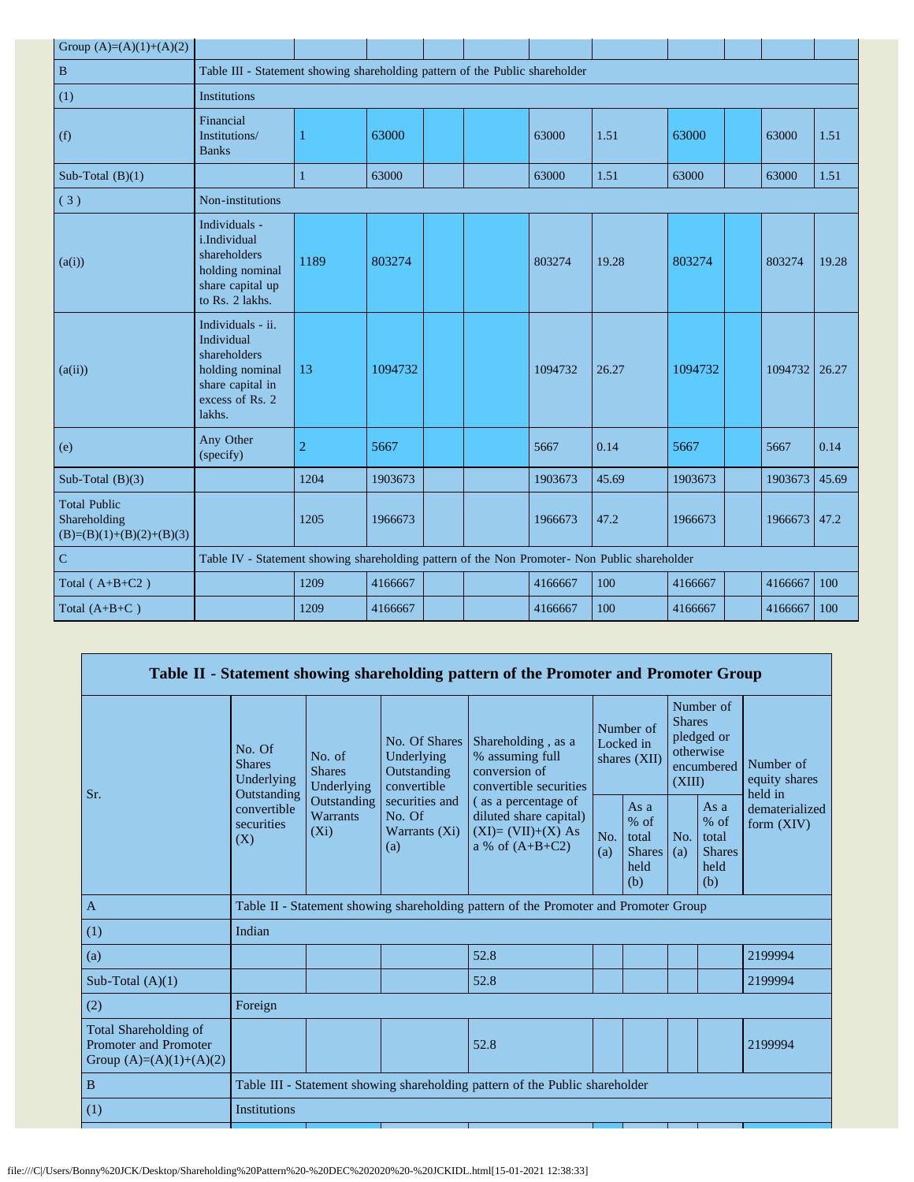| Group $(A)=(A)(1)+(A)(2)$                                         |                                                                                                                     |                                                                              |         |  |  |         |       |         |  |         |       |
|-------------------------------------------------------------------|---------------------------------------------------------------------------------------------------------------------|------------------------------------------------------------------------------|---------|--|--|---------|-------|---------|--|---------|-------|
| $\, {\bf B}$                                                      |                                                                                                                     | Table III - Statement showing shareholding pattern of the Public shareholder |         |  |  |         |       |         |  |         |       |
| (1)                                                               | Institutions                                                                                                        |                                                                              |         |  |  |         |       |         |  |         |       |
| (f)                                                               | Financial<br>Institutions/<br><b>Banks</b>                                                                          |                                                                              | 63000   |  |  | 63000   | 1.51  | 63000   |  | 63000   | 1.51  |
| Sub-Total $(B)(1)$                                                |                                                                                                                     | 1                                                                            | 63000   |  |  | 63000   | 1.51  | 63000   |  | 63000   | 1.51  |
| (3)                                                               | Non-institutions                                                                                                    |                                                                              |         |  |  |         |       |         |  |         |       |
| (a(i))                                                            | Individuals -<br>i.Individual<br>shareholders<br>holding nominal<br>share capital up<br>to Rs. 2 lakhs.             | 1189                                                                         | 803274  |  |  | 803274  | 19.28 | 803274  |  | 803274  | 19.28 |
| (a(ii))                                                           | Individuals - ii.<br>Individual<br>shareholders<br>holding nominal<br>share capital in<br>excess of Rs. 2<br>lakhs. | 13                                                                           | 1094732 |  |  | 1094732 | 26.27 | 1094732 |  | 1094732 | 26.27 |
| (e)                                                               | Any Other<br>(specify)                                                                                              | $\overline{2}$                                                               | 5667    |  |  | 5667    | 0.14  | 5667    |  | 5667    | 0.14  |
| Sub-Total $(B)(3)$                                                |                                                                                                                     | 1204                                                                         | 1903673 |  |  | 1903673 | 45.69 | 1903673 |  | 1903673 | 45.69 |
| <b>Total Public</b><br>Shareholding<br>$(B)=(B)(1)+(B)(2)+(B)(3)$ |                                                                                                                     | 1205                                                                         | 1966673 |  |  | 1966673 | 47.2  | 1966673 |  | 1966673 | 47.2  |
| $\overline{C}$                                                    | Table IV - Statement showing shareholding pattern of the Non Promoter- Non Public shareholder                       |                                                                              |         |  |  |         |       |         |  |         |       |
| Total $(A+B+C2)$                                                  |                                                                                                                     | 1209                                                                         | 4166667 |  |  | 4166667 | 100   | 4166667 |  | 4166667 | 100   |
| Total $(A+B+C)$                                                   |                                                                                                                     | 1209                                                                         | 4166667 |  |  | 4166667 | 100   | 4166667 |  | 4166667 | 100   |

|                                                                                    |                                                                                               |                                           |                                                           | Table II - Statement showing shareholding pattern of the Promoter and Promoter Group      |                                        |                                                         |                                                                               |                                                         |                                       |
|------------------------------------------------------------------------------------|-----------------------------------------------------------------------------------------------|-------------------------------------------|-----------------------------------------------------------|-------------------------------------------------------------------------------------------|----------------------------------------|---------------------------------------------------------|-------------------------------------------------------------------------------|---------------------------------------------------------|---------------------------------------|
| Sr.                                                                                | No. Of<br>No. of<br><b>Shares</b><br><b>Shares</b><br>Underlying<br>Underlying<br>Outstanding |                                           | No. Of Shares<br>Underlying<br>Outstanding<br>convertible | Shareholding, as a<br>% assuming full<br>conversion of<br>convertible securities          | Number of<br>Locked in<br>shares (XII) |                                                         | Number of<br><b>Shares</b><br>pledged or<br>otherwise<br>encumbered<br>(XIII) |                                                         | Number of<br>equity shares<br>held in |
|                                                                                    | convertible<br>securities<br>(X)                                                              | Outstanding<br><b>Warrants</b><br>$(X_i)$ | securities and<br>No. Of<br>Warrants (Xi)<br>(a)          | (as a percentage of<br>diluted share capital)<br>$(XI)=(VII)+(X) As$<br>a % of $(A+B+C2)$ | No.<br>(a)                             | As a<br>$%$ of<br>total<br><b>Shares</b><br>held<br>(b) | No.<br>(a)                                                                    | As a<br>$%$ of<br>total<br><b>Shares</b><br>held<br>(b) | dematerialized<br>form $(XIV)$        |
| $\mathbf{A}$                                                                       |                                                                                               |                                           |                                                           | Table II - Statement showing shareholding pattern of the Promoter and Promoter Group      |                                        |                                                         |                                                                               |                                                         |                                       |
| (1)                                                                                | Indian                                                                                        |                                           |                                                           |                                                                                           |                                        |                                                         |                                                                               |                                                         |                                       |
| (a)                                                                                |                                                                                               |                                           |                                                           | 52.8                                                                                      |                                        |                                                         |                                                                               |                                                         | 2199994                               |
| Sub-Total $(A)(1)$                                                                 |                                                                                               |                                           |                                                           | 52.8                                                                                      |                                        |                                                         |                                                                               |                                                         | 2199994                               |
| (2)                                                                                | Foreign                                                                                       |                                           |                                                           |                                                                                           |                                        |                                                         |                                                                               |                                                         |                                       |
| Total Shareholding of<br><b>Promoter and Promoter</b><br>Group $(A)=(A)(1)+(A)(2)$ |                                                                                               |                                           |                                                           | 52.8                                                                                      |                                        |                                                         |                                                                               |                                                         | 2199994                               |
| B                                                                                  | Table III - Statement showing shareholding pattern of the Public shareholder                  |                                           |                                                           |                                                                                           |                                        |                                                         |                                                                               |                                                         |                                       |
| (1)                                                                                | <b>Institutions</b>                                                                           |                                           |                                                           |                                                                                           |                                        |                                                         |                                                                               |                                                         |                                       |
|                                                                                    |                                                                                               |                                           |                                                           |                                                                                           |                                        |                                                         |                                                                               |                                                         |                                       |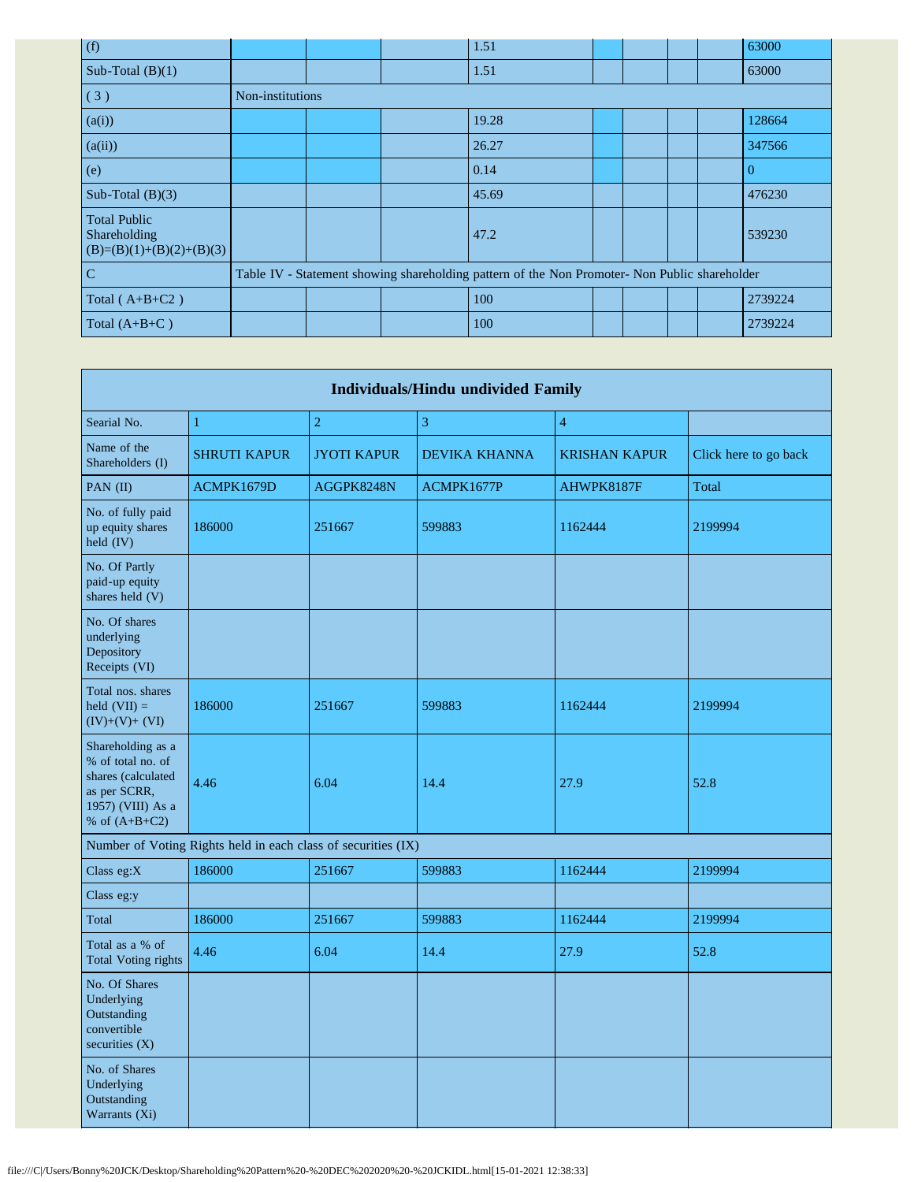| (f)                                                               |                  |  | 1.51                                                                                          |  |  | 63000    |
|-------------------------------------------------------------------|------------------|--|-----------------------------------------------------------------------------------------------|--|--|----------|
| Sub-Total $(B)(1)$                                                |                  |  | 1.51                                                                                          |  |  | 63000    |
| (3)                                                               | Non-institutions |  |                                                                                               |  |  |          |
| (a(i))                                                            |                  |  | 19.28                                                                                         |  |  | 128664   |
| (a(ii))                                                           |                  |  | 26.27                                                                                         |  |  | 347566   |
| (e)                                                               |                  |  | 0.14                                                                                          |  |  | $\Omega$ |
| Sub-Total $(B)(3)$                                                |                  |  | 45.69                                                                                         |  |  | 476230   |
| <b>Total Public</b><br>Shareholding<br>$(B)=(B)(1)+(B)(2)+(B)(3)$ |                  |  | 47.2                                                                                          |  |  | 539230   |
| C                                                                 |                  |  | Table IV - Statement showing shareholding pattern of the Non Promoter- Non Public shareholder |  |  |          |
| Total $(A+B+C2)$                                                  |                  |  | 100                                                                                           |  |  | 2739224  |
| Total $(A+B+C)$                                                   |                  |  | 100                                                                                           |  |  | 2739224  |

|                                                                                                                      |                                                               |                    | <b>Individuals/Hindu undivided Family</b> |                      |                       |
|----------------------------------------------------------------------------------------------------------------------|---------------------------------------------------------------|--------------------|-------------------------------------------|----------------------|-----------------------|
| Searial No.                                                                                                          | $\mathbf{1}$                                                  | $\overline{2}$     | 3                                         | $\overline{4}$       |                       |
| Name of the<br>Shareholders (I)                                                                                      | <b>SHRUTI KAPUR</b>                                           | <b>JYOTI KAPUR</b> | <b>DEVIKA KHANNA</b>                      | <b>KRISHAN KAPUR</b> | Click here to go back |
| PAN (II)                                                                                                             | ACMPK1679D                                                    | AGGPK8248N         | ACMPK1677P                                | AHWPK8187F           | Total                 |
| No. of fully paid<br>up equity shares<br>held (IV)                                                                   | 186000                                                        | 251667             | 599883                                    | 1162444              | 2199994               |
| No. Of Partly<br>paid-up equity<br>shares held (V)                                                                   |                                                               |                    |                                           |                      |                       |
| No. Of shares<br>underlying<br>Depository<br>Receipts (VI)                                                           |                                                               |                    |                                           |                      |                       |
| Total nos. shares<br>held $(VII) =$<br>$(IV)+(V)+(VI)$                                                               | 186000                                                        | 251667             | 599883                                    | 1162444              | 2199994               |
| Shareholding as a<br>% of total no. of<br>shares (calculated<br>as per SCRR,<br>1957) (VIII) As a<br>% of $(A+B+C2)$ | 4.46                                                          | 6.04               | 14.4                                      | 27.9                 | 52.8                  |
|                                                                                                                      | Number of Voting Rights held in each class of securities (IX) |                    |                                           |                      |                       |
| Class eg:X                                                                                                           | 186000                                                        | 251667             | 599883                                    | 1162444              | 2199994               |
| Class eg:y                                                                                                           |                                                               |                    |                                           |                      |                       |
| Total                                                                                                                | 186000                                                        | 251667             | 599883                                    | 1162444              | 2199994               |
| Total as a % of<br><b>Total Voting rights</b>                                                                        | 4.46                                                          | 6.04               | 14.4                                      | 27.9                 | 52.8                  |
| No. Of Shares<br>Underlying<br>Outstanding<br>convertible<br>securities $(X)$                                        |                                                               |                    |                                           |                      |                       |
| No. of Shares<br>Underlying<br>Outstanding<br>Warrants (Xi)                                                          |                                                               |                    |                                           |                      |                       |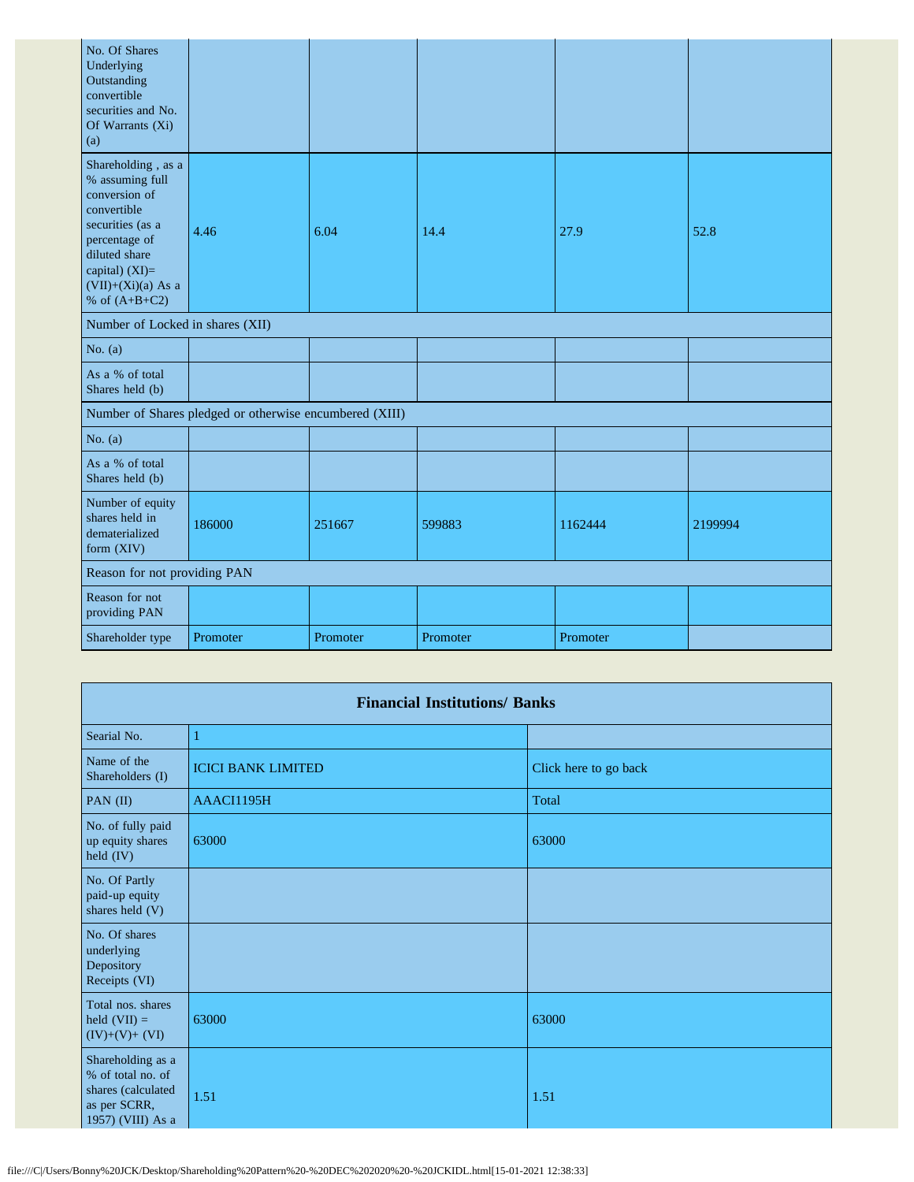| No. Of Shares<br>Underlying<br>Outstanding<br>convertible<br>securities and No.<br>Of Warrants (Xi)<br>(a)                                                                                 |                                                         |          |          |          |         |
|--------------------------------------------------------------------------------------------------------------------------------------------------------------------------------------------|---------------------------------------------------------|----------|----------|----------|---------|
| Shareholding, as a<br>% assuming full<br>conversion of<br>convertible<br>securities (as a<br>percentage of<br>diluted share<br>capital) $(XI)=$<br>$(VII)+(Xi)(a)$ As a<br>% of $(A+B+C2)$ | 4.46                                                    | 6.04     | 14.4     | 27.9     | 52.8    |
| Number of Locked in shares (XII)                                                                                                                                                           |                                                         |          |          |          |         |
| No. $(a)$                                                                                                                                                                                  |                                                         |          |          |          |         |
| As a % of total<br>Shares held (b)                                                                                                                                                         |                                                         |          |          |          |         |
|                                                                                                                                                                                            | Number of Shares pledged or otherwise encumbered (XIII) |          |          |          |         |
| No. $(a)$                                                                                                                                                                                  |                                                         |          |          |          |         |
| As a % of total<br>Shares held (b)                                                                                                                                                         |                                                         |          |          |          |         |
| Number of equity<br>shares held in<br>dematerialized<br>form (XIV)                                                                                                                         | 186000                                                  | 251667   | 599883   | 1162444  | 2199994 |
| Reason for not providing PAN                                                                                                                                                               |                                                         |          |          |          |         |
| Reason for not<br>providing PAN                                                                                                                                                            |                                                         |          |          |          |         |
| Shareholder type                                                                                                                                                                           | Promoter                                                | Promoter | Promoter | Promoter |         |

|                                                                                                   | <b>Financial Institutions/ Banks</b> |                       |  |  |  |  |  |  |  |  |
|---------------------------------------------------------------------------------------------------|--------------------------------------|-----------------------|--|--|--|--|--|--|--|--|
| Searial No.                                                                                       | 1                                    |                       |  |  |  |  |  |  |  |  |
| Name of the<br>Shareholders (I)                                                                   | <b>ICICI BANK LIMITED</b>            | Click here to go back |  |  |  |  |  |  |  |  |
| PAN $(II)$                                                                                        | AAACI1195H                           | Total                 |  |  |  |  |  |  |  |  |
| No. of fully paid<br>up equity shares<br>held $(IV)$                                              | 63000                                | 63000                 |  |  |  |  |  |  |  |  |
| No. Of Partly<br>paid-up equity<br>shares held (V)                                                |                                      |                       |  |  |  |  |  |  |  |  |
| No. Of shares<br>underlying<br>Depository<br>Receipts (VI)                                        |                                      |                       |  |  |  |  |  |  |  |  |
| Total nos. shares<br>held $(VII) =$<br>$(IV)+(V)+(VI)$                                            | 63000                                | 63000                 |  |  |  |  |  |  |  |  |
| Shareholding as a<br>% of total no. of<br>shares (calculated<br>as per SCRR,<br>1957) (VIII) As a | 1.51                                 | 1.51                  |  |  |  |  |  |  |  |  |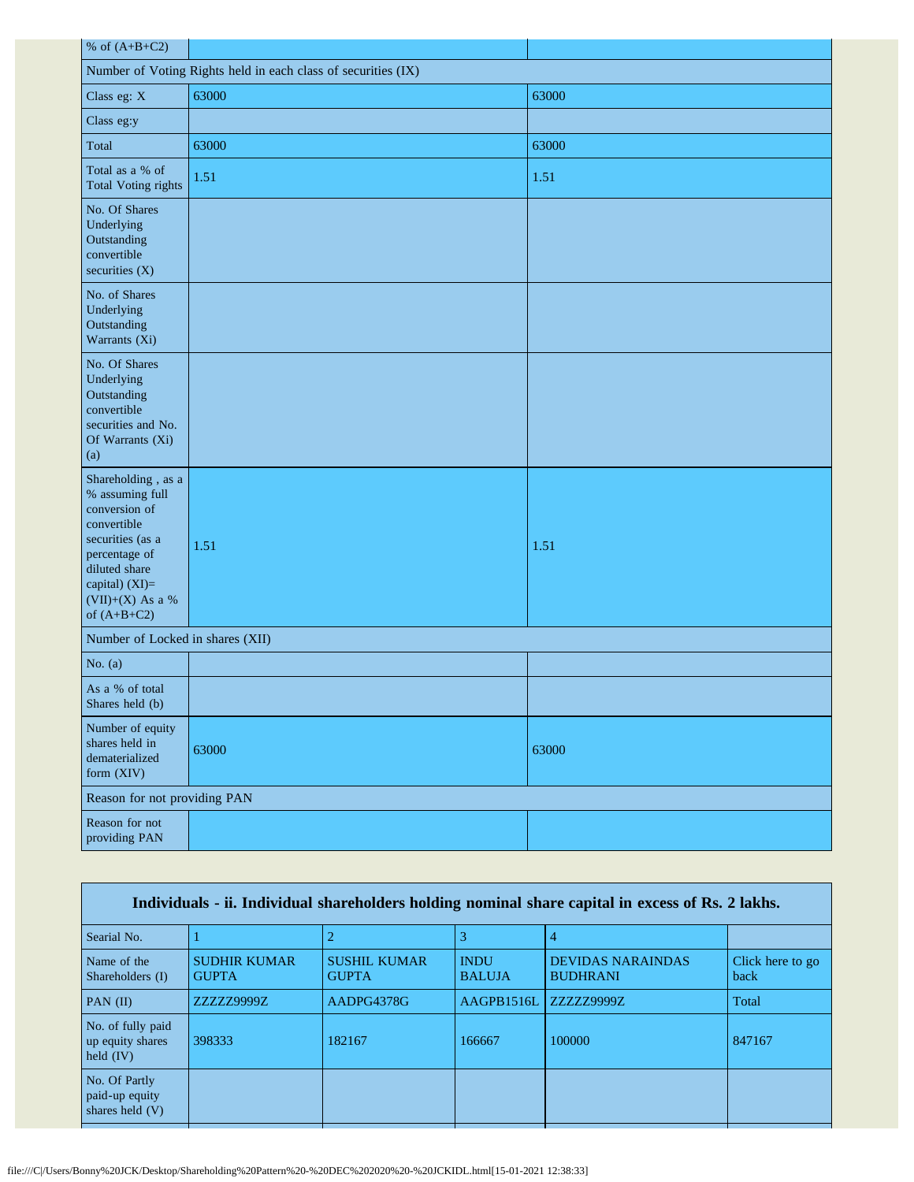| % of $(A+B+C2)$                                                                                                                                                                    |       |       |  |  |
|------------------------------------------------------------------------------------------------------------------------------------------------------------------------------------|-------|-------|--|--|
| Number of Voting Rights held in each class of securities (IX)                                                                                                                      |       |       |  |  |
| Class eg: X                                                                                                                                                                        | 63000 | 63000 |  |  |
| Class eg:y                                                                                                                                                                         |       |       |  |  |
| Total                                                                                                                                                                              | 63000 | 63000 |  |  |
| Total as a % of<br><b>Total Voting rights</b>                                                                                                                                      | 1.51  | 1.51  |  |  |
| No. Of Shares<br>Underlying<br>Outstanding<br>convertible<br>securities $(X)$                                                                                                      |       |       |  |  |
| No. of Shares<br>Underlying<br>Outstanding<br>Warrants (Xi)                                                                                                                        |       |       |  |  |
| No. Of Shares<br>Underlying<br>Outstanding<br>convertible<br>securities and No.<br>Of Warrants (Xi)<br>(a)                                                                         |       |       |  |  |
| Shareholding, as a<br>% assuming full<br>conversion of<br>convertible<br>securities (as a<br>percentage of<br>diluted share<br>capital) (XI)=<br>(VII)+(X) As a %<br>of $(A+B+C2)$ | 1.51  | 1.51  |  |  |
| Number of Locked in shares (XII)                                                                                                                                                   |       |       |  |  |
| No. $(a)$                                                                                                                                                                          |       |       |  |  |
| As a % of total<br>Shares held (b)                                                                                                                                                 |       |       |  |  |
| Number of equity<br>shares held in<br>dematerialized<br>form $(XIV)$                                                                                                               | 63000 | 63000 |  |  |
| Reason for not providing PAN                                                                                                                                                       |       |       |  |  |
| Reason for not<br>providing PAN                                                                                                                                                    |       |       |  |  |

| Individuals - ii. Individual shareholders holding nominal share capital in excess of Rs. 2 lakhs. |                                     |                                     |                              |                                             |                          |
|---------------------------------------------------------------------------------------------------|-------------------------------------|-------------------------------------|------------------------------|---------------------------------------------|--------------------------|
| Searial No.                                                                                       |                                     |                                     |                              |                                             |                          |
| Name of the<br>Shareholders (I)                                                                   | <b>SUDHIR KUMAR</b><br><b>GUPTA</b> | <b>SUSHIL KUMAR</b><br><b>GUPTA</b> | <b>INDU</b><br><b>BALUJA</b> | <b>DEVIDAS NARAINDAS</b><br><b>BUDHRANI</b> | Click here to go<br>back |
| PAN $(II)$                                                                                        | ZZZZZ9999Z                          | AADPG4378G                          | AAGPB1516L                   | ZZZZZ9999Z                                  | Total                    |
| No. of fully paid<br>up equity shares<br>held $(IV)$                                              | 398333                              | 182167                              | 166667                       | 100000                                      | 847167                   |
| No. Of Partly<br>paid-up equity<br>shares held (V)                                                |                                     |                                     |                              |                                             |                          |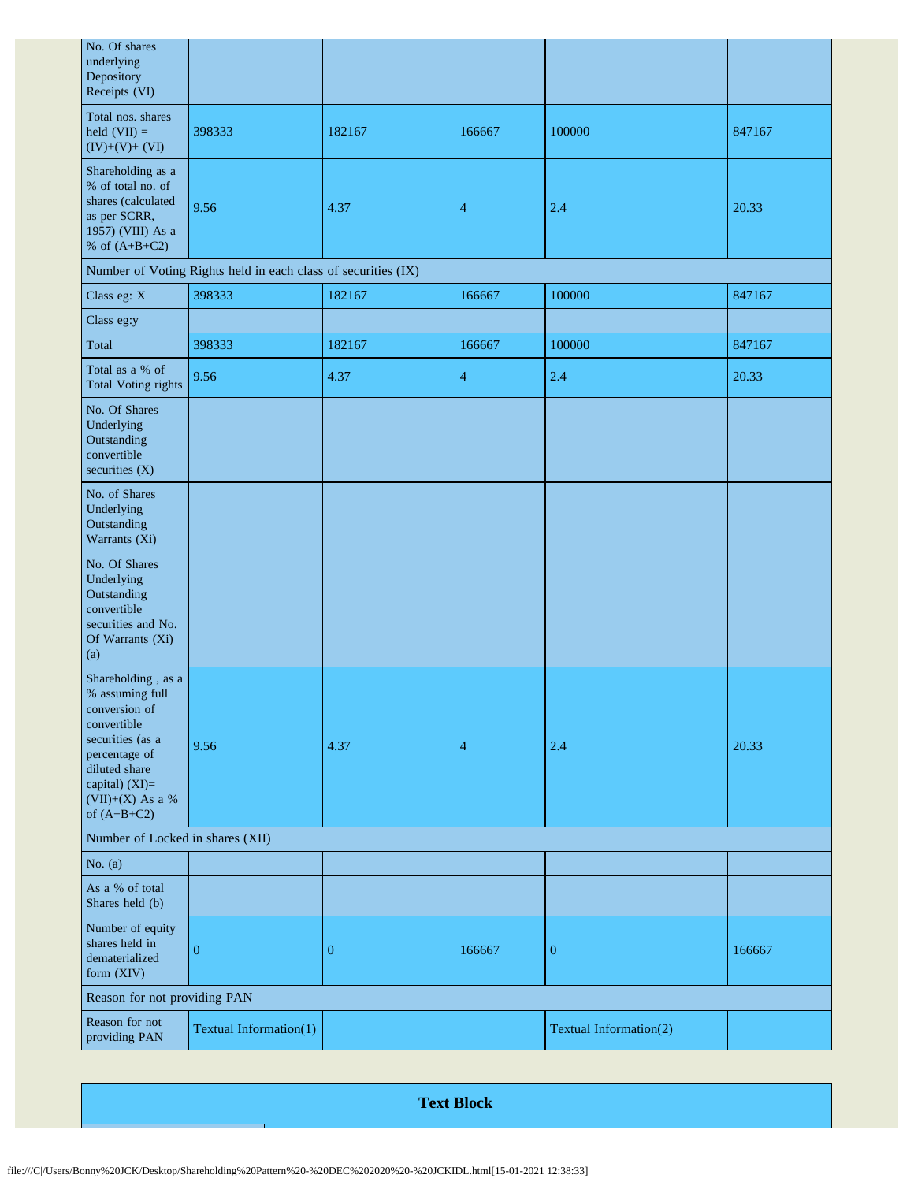| No. Of shares<br>underlying<br>Depository<br>Receipts (VI)                                                                                                                         |                                                               |                  |                |                        |        |
|------------------------------------------------------------------------------------------------------------------------------------------------------------------------------------|---------------------------------------------------------------|------------------|----------------|------------------------|--------|
| Total nos. shares<br>held $(VII) =$<br>$(IV)+(V)+(VI)$                                                                                                                             | 398333                                                        | 182167           | 166667         | 100000                 | 847167 |
| Shareholding as a<br>% of total no. of<br>shares (calculated<br>as per SCRR,<br>1957) (VIII) As a<br>% of $(A+B+C2)$                                                               | 9.56                                                          | 4.37             | $\overline{4}$ | 2.4                    | 20.33  |
|                                                                                                                                                                                    | Number of Voting Rights held in each class of securities (IX) |                  |                |                        |        |
| Class eg: X                                                                                                                                                                        | 398333                                                        | 182167           | 166667         | 100000                 | 847167 |
| Class eg:y                                                                                                                                                                         |                                                               |                  |                |                        |        |
| Total                                                                                                                                                                              | 398333                                                        | 182167           | 166667         | 100000                 | 847167 |
| Total as a % of<br><b>Total Voting rights</b>                                                                                                                                      | 9.56                                                          | 4.37             | 4              | 2.4                    | 20.33  |
| No. Of Shares<br>Underlying<br>Outstanding<br>convertible<br>securities $(X)$                                                                                                      |                                                               |                  |                |                        |        |
| No. of Shares<br>Underlying<br>Outstanding<br>Warrants (Xi)                                                                                                                        |                                                               |                  |                |                        |        |
| No. Of Shares<br>Underlying<br>Outstanding<br>convertible<br>securities and No.<br>Of Warrants (Xi)<br>(a)                                                                         |                                                               |                  |                |                        |        |
| Shareholding, as a<br>% assuming full<br>conversion of<br>convertible<br>securities (as a<br>percentage of<br>diluted share<br>capital) (XI)=<br>(VII)+(X) As a %<br>of $(A+B+C2)$ | 9.56                                                          | 4.37             | 4              | 2.4                    | 20.33  |
| Number of Locked in shares (XII)                                                                                                                                                   |                                                               |                  |                |                        |        |
| No. $(a)$                                                                                                                                                                          |                                                               |                  |                |                        |        |
| As a % of total<br>Shares held (b)                                                                                                                                                 |                                                               |                  |                |                        |        |
| Number of equity<br>shares held in<br>dematerialized<br>form (XIV)                                                                                                                 | $\overline{0}$                                                | $\boldsymbol{0}$ | 166667         | $\boldsymbol{0}$       | 166667 |
| Reason for not providing PAN                                                                                                                                                       |                                                               |                  |                |                        |        |
| Reason for not<br>providing PAN                                                                                                                                                    | Textual Information(1)                                        |                  |                | Textual Information(2) |        |

**Text Block**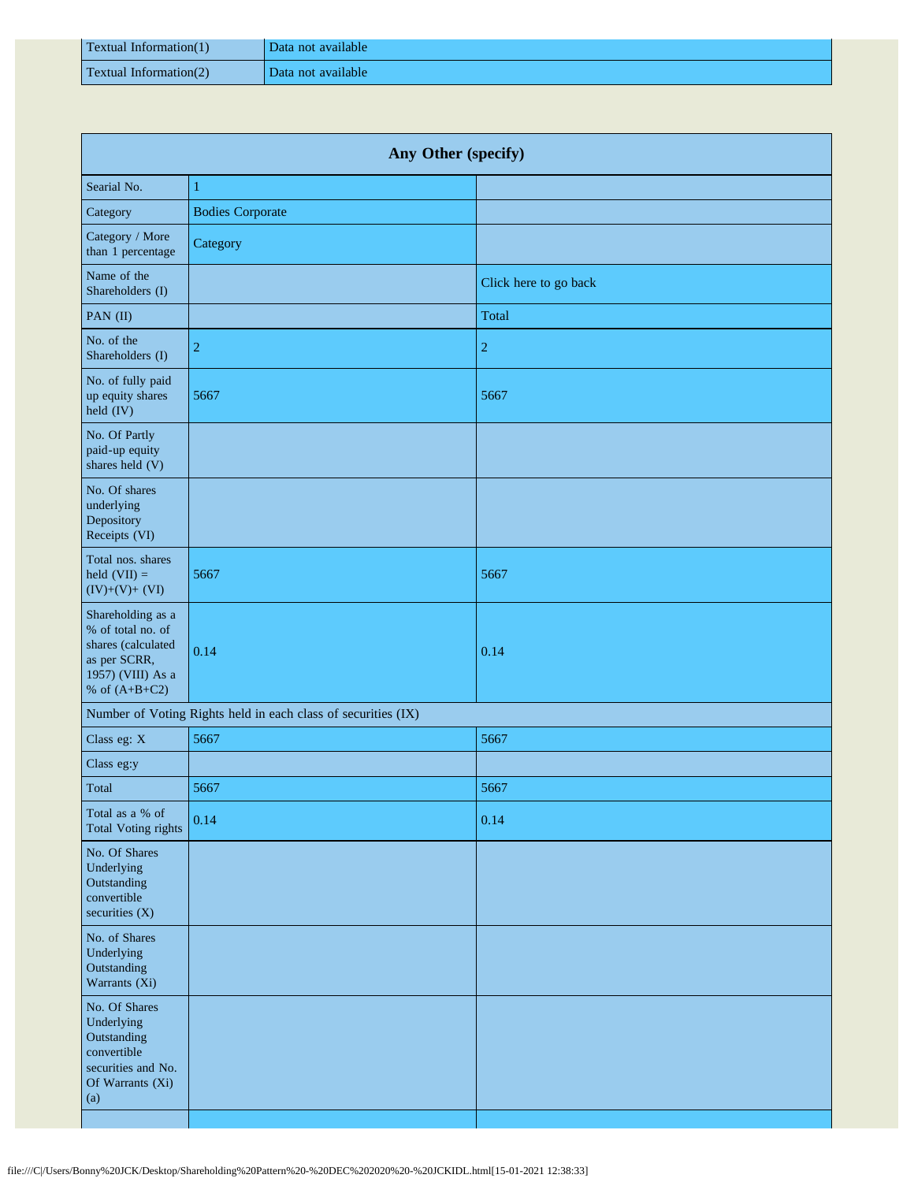| Textual Information(1)    | Data not available |
|---------------------------|--------------------|
| Textual Information $(2)$ | Data not available |

| Any Other (specify)                                                                                                  |                                                               |                       |  |
|----------------------------------------------------------------------------------------------------------------------|---------------------------------------------------------------|-----------------------|--|
| Searial No.                                                                                                          | $\mathbf{1}$                                                  |                       |  |
| Category                                                                                                             | <b>Bodies Corporate</b>                                       |                       |  |
| Category / More<br>than 1 percentage                                                                                 | Category                                                      |                       |  |
| Name of the<br>Shareholders (I)                                                                                      |                                                               | Click here to go back |  |
| PAN (II)                                                                                                             |                                                               | Total                 |  |
| No. of the<br>Shareholders (I)                                                                                       | $\overline{2}$                                                | $\overline{c}$        |  |
| No. of fully paid<br>up equity shares<br>held (IV)                                                                   | 5667                                                          | 5667                  |  |
| No. Of Partly<br>paid-up equity<br>shares held (V)                                                                   |                                                               |                       |  |
| No. Of shares<br>underlying<br>Depository<br>Receipts (VI)                                                           |                                                               |                       |  |
| Total nos. shares<br>held $(VII) =$<br>$(IV)+(V)+(VI)$                                                               | 5667                                                          | 5667                  |  |
| Shareholding as a<br>% of total no. of<br>shares (calculated<br>as per SCRR,<br>1957) (VIII) As a<br>% of $(A+B+C2)$ | 0.14                                                          | 0.14                  |  |
|                                                                                                                      | Number of Voting Rights held in each class of securities (IX) |                       |  |
| Class eg: X                                                                                                          | 5667                                                          | 5667                  |  |
| Class eg:y                                                                                                           |                                                               |                       |  |
| Total                                                                                                                | 5667                                                          | 5667                  |  |
| Total as a % of<br><b>Total Voting rights</b>                                                                        | 0.14                                                          | 0.14                  |  |
| No. Of Shares<br>Underlying<br>Outstanding<br>convertible<br>securities $(X)$                                        |                                                               |                       |  |
| No. of Shares<br>Underlying<br>Outstanding<br>Warrants (Xi)                                                          |                                                               |                       |  |
| No. Of Shares<br>Underlying<br>Outstanding<br>convertible<br>securities and No.<br>Of Warrants (Xi)<br>(a)           |                                                               |                       |  |